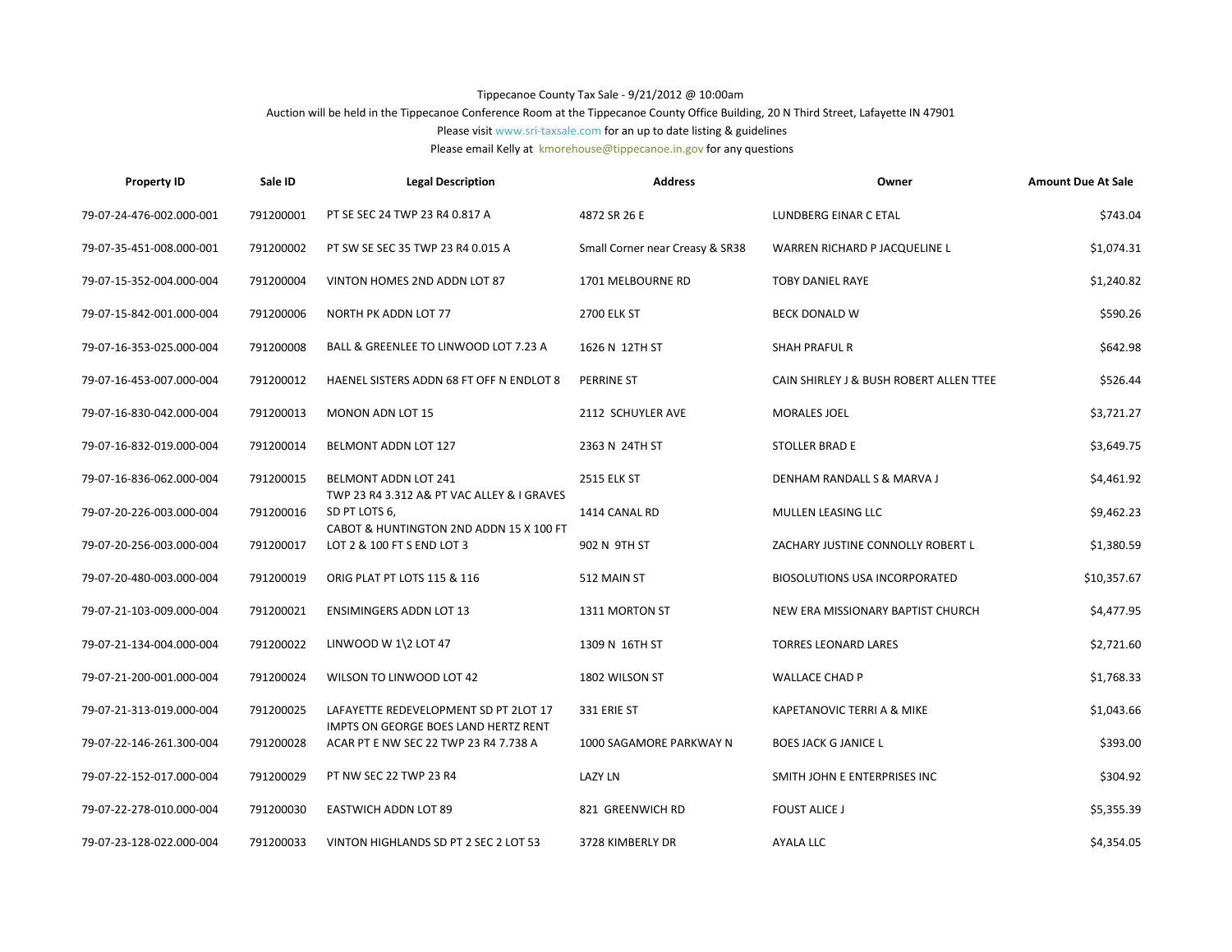## Tippecanoe County Tax Sale - 9/21/2012 @ 10:00am

## Auction will be held in the Tippecanoe Conference Room at the Tippecanoe County Office Building, 20 N Third Street, Lafayette IN 47901

Please visit www.sri-taxsale.com for an up to date listing & guidelines

Please email Kelly at kmorehouse@tippecanoe.in.gov for any questions

| <b>Property ID</b>       | Sale ID   | <b>Legal Description</b>                                                      | <b>Address</b>                  | Owner                                   | <b>Amount Due At Sale</b> |
|--------------------------|-----------|-------------------------------------------------------------------------------|---------------------------------|-----------------------------------------|---------------------------|
| 79-07-24-476-002.000-001 | 791200001 | PT SE SEC 24 TWP 23 R4 0.817 A                                                | 4872 SR 26 E                    | LUNDBERG EINAR C ETAL                   | \$743.04                  |
| 79-07-35-451-008.000-001 | 791200002 | PT SW SE SEC 35 TWP 23 R4 0.015 A                                             | Small Corner near Creasy & SR38 | WARREN RICHARD P JACQUELINE L           | \$1,074.31                |
| 79-07-15-352-004.000-004 | 791200004 | VINTON HOMES 2ND ADDN LOT 87                                                  | 1701 MELBOURNE RD               | <b>TOBY DANIEL RAYE</b>                 | \$1,240.82                |
| 79-07-15-842-001.000-004 | 791200006 | NORTH PK ADDN LOT 77                                                          | <b>2700 ELK ST</b>              | BECK DONALD W                           | \$590.26                  |
| 79-07-16-353-025.000-004 | 791200008 | BALL & GREENLEE TO LINWOOD LOT 7.23 A                                         | 1626 N 12TH ST                  | <b>SHAH PRAFUL R</b>                    | \$642.98                  |
| 79-07-16-453-007.000-004 | 791200012 | HAENEL SISTERS ADDN 68 FT OFF N ENDLOT 8                                      | <b>PERRINE ST</b>               | CAIN SHIRLEY J & BUSH ROBERT ALLEN TTEE | \$526.44                  |
| 79-07-16-830-042.000-004 | 791200013 | MONON ADN LOT 15                                                              | 2112 SCHUYLER AVE               | MORALES JOEL                            | \$3,721.27                |
| 79-07-16-832-019.000-004 | 791200014 | BELMONT ADDN LOT 127                                                          | 2363 N 24TH ST                  | <b>STOLLER BRAD E</b>                   | \$3,649.75                |
| 79-07-16-836-062.000-004 | 791200015 | BELMONT ADDN LOT 241<br>TWP 23 R4 3.312 A& PT VAC ALLEY & I GRAVES            | <b>2515 ELK ST</b>              | DENHAM RANDALL S & MARVA J              | \$4,461.92                |
| 79-07-20-226-003.000-004 | 791200016 | SD PT LOTS 6,<br>CABOT & HUNTINGTON 2ND ADDN 15 X 100 FT                      | 1414 CANAL RD                   | MULLEN LEASING LLC                      | \$9,462.23                |
| 79-07-20-256-003.000-004 | 791200017 | LOT 2 & 100 FT S END LOT 3                                                    | 902 N 9TH ST                    | ZACHARY JUSTINE CONNOLLY ROBERT L       | \$1,380.59                |
| 79-07-20-480-003.000-004 | 791200019 | ORIG PLAT PT LOTS 115 & 116                                                   | 512 MAIN ST                     | <b>BIOSOLUTIONS USA INCORPORATED</b>    | \$10,357.67               |
| 79-07-21-103-009.000-004 | 791200021 | <b>ENSIMINGERS ADDN LOT 13</b>                                                | 1311 MORTON ST                  | NEW ERA MISSIONARY BAPTIST CHURCH       | \$4,477.95                |
| 79-07-21-134-004.000-004 | 791200022 | LINWOOD W $1/2$ LOT 47                                                        | 1309 N 16TH ST                  | <b>TORRES LEONARD LARES</b>             | \$2,721.60                |
| 79-07-21-200-001.000-004 | 791200024 | WILSON TO LINWOOD LOT 42                                                      | 1802 WILSON ST                  | <b>WALLACE CHAD P</b>                   | \$1,768.33                |
| 79-07-21-313-019.000-004 | 791200025 | LAFAYETTE REDEVELOPMENT SD PT 2LOT 17                                         | 331 ERIE ST                     | KAPETANOVIC TERRI A & MIKE              | \$1,043.66                |
| 79-07-22-146-261.300-004 | 791200028 | IMPTS ON GEORGE BOES LAND HERTZ RENT<br>ACAR PT E NW SEC 22 TWP 23 R4 7.738 A | 1000 SAGAMORE PARKWAY N         | <b>BOES JACK G JANICE L</b>             | \$393.00                  |
| 79-07-22-152-017.000-004 | 791200029 | PT NW SEC 22 TWP 23 R4                                                        | <b>LAZY LN</b>                  | SMITH JOHN E ENTERPRISES INC            | \$304.92                  |
| 79-07-22-278-010.000-004 | 791200030 | <b>EASTWICH ADDN LOT 89</b>                                                   | 821 GREENWICH RD                | <b>FOUST ALICE J</b>                    | \$5,355.39                |
| 79-07-23-128-022.000-004 | 791200033 | VINTON HIGHLANDS SD PT 2 SEC 2 LOT 53                                         | 3728 KIMBERLY DR                | <b>AYALA LLC</b>                        | \$4,354.05                |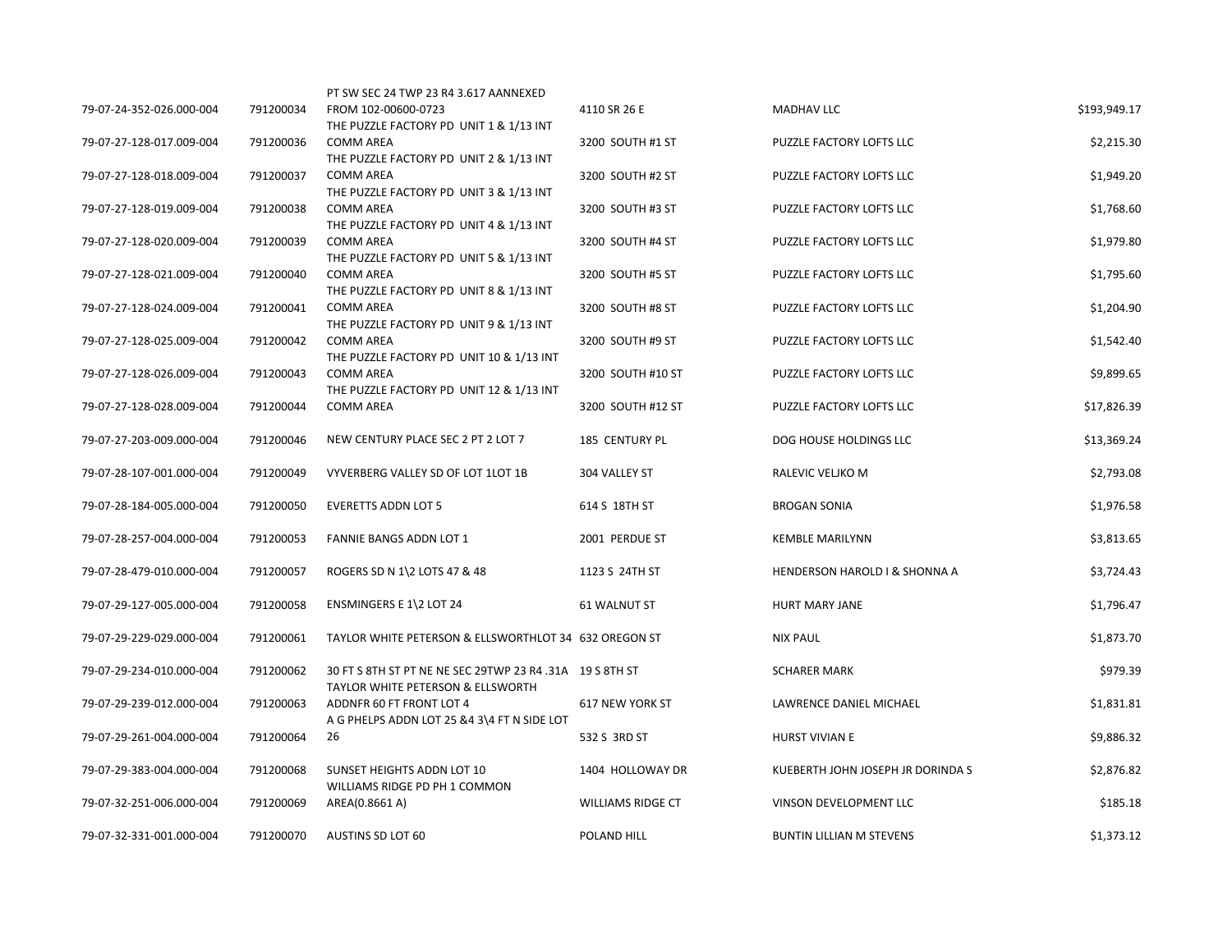|                          |           | PT SW SEC 24 TWP 23 R4 3.617 AANNEXED                        |                          |                                   |              |
|--------------------------|-----------|--------------------------------------------------------------|--------------------------|-----------------------------------|--------------|
| 79-07-24-352-026.000-004 | 791200034 | FROM 102-00600-0723                                          | 4110 SR 26 E             | <b>MADHAV LLC</b>                 | \$193,949.17 |
| 79-07-27-128-017.009-004 | 791200036 | THE PUZZLE FACTORY PD UNIT 1 & 1/13 INT<br><b>COMM AREA</b>  | 3200 SOUTH #1 ST         | PUZZLE FACTORY LOFTS LLC          | \$2,215.30   |
|                          |           | THE PUZZLE FACTORY PD UNIT 2 & 1/13 INT                      |                          |                                   |              |
| 79-07-27-128-018.009-004 | 791200037 | <b>COMM AREA</b>                                             | 3200 SOUTH #2 ST         | PUZZLE FACTORY LOFTS LLC          | \$1,949.20   |
|                          |           | THE PUZZLE FACTORY PD UNIT 3 & 1/13 INT                      |                          |                                   |              |
| 79-07-27-128-019.009-004 | 791200038 | <b>COMM AREA</b>                                             | 3200 SOUTH #3 ST         | PUZZLE FACTORY LOFTS LLC          | \$1,768.60   |
|                          |           | THE PUZZLE FACTORY PD UNIT 4 & 1/13 INT                      |                          |                                   |              |
| 79-07-27-128-020.009-004 | 791200039 | <b>COMM AREA</b>                                             | 3200 SOUTH #4 ST         | PUZZLE FACTORY LOFTS LLC          | \$1,979.80   |
|                          |           | THE PUZZLE FACTORY PD UNIT 5 & 1/13 INT                      |                          |                                   |              |
| 79-07-27-128-021.009-004 | 791200040 | <b>COMM AREA</b>                                             | 3200 SOUTH #5 ST         | PUZZLE FACTORY LOFTS LLC          | \$1,795.60   |
|                          |           | THE PUZZLE FACTORY PD UNIT 8 & 1/13 INT                      |                          |                                   |              |
| 79-07-27-128-024.009-004 | 791200041 | <b>COMM AREA</b>                                             | 3200 SOUTH #8 ST         | PUZZLE FACTORY LOFTS LLC          | \$1,204.90   |
|                          |           | THE PUZZLE FACTORY PD UNIT 9 & 1/13 INT                      |                          |                                   |              |
| 79-07-27-128-025.009-004 | 791200042 | <b>COMM AREA</b>                                             | 3200 SOUTH #9 ST         | PUZZLE FACTORY LOFTS LLC          | \$1,542.40   |
|                          |           | THE PUZZLE FACTORY PD UNIT 10 & 1/13 INT                     |                          |                                   |              |
| 79-07-27-128-026.009-004 | 791200043 | <b>COMM AREA</b>                                             | 3200 SOUTH #10 ST        | PUZZLE FACTORY LOFTS LLC          | \$9,899.65   |
| 79-07-27-128-028.009-004 | 791200044 | THE PUZZLE FACTORY PD UNIT 12 & 1/13 INT<br><b>COMM AREA</b> | 3200 SOUTH #12 ST        | PUZZLE FACTORY LOFTS LLC          | \$17,826.39  |
|                          |           |                                                              |                          |                                   |              |
| 79-07-27-203-009.000-004 | 791200046 | NEW CENTURY PLACE SEC 2 PT 2 LOT 7                           | 185 CENTURY PL           | DOG HOUSE HOLDINGS LLC            | \$13,369.24  |
|                          |           |                                                              |                          |                                   |              |
| 79-07-28-107-001.000-004 | 791200049 | VYVERBERG VALLEY SD OF LOT 1LOT 1B                           | 304 VALLEY ST            | RALEVIC VELJKO M                  | \$2,793.08   |
|                          |           |                                                              |                          |                                   |              |
| 79-07-28-184-005.000-004 | 791200050 | <b>EVERETTS ADDN LOT 5</b>                                   | 614 S 18TH ST            | <b>BROGAN SONIA</b>               | \$1,976.58   |
|                          |           |                                                              |                          |                                   |              |
| 79-07-28-257-004.000-004 | 791200053 | <b>FANNIE BANGS ADDN LOT 1</b>                               | 2001 PERDUE ST           | <b>KEMBLE MARILYNN</b>            | \$3,813.65   |
|                          |           |                                                              |                          |                                   |              |
| 79-07-28-479-010.000-004 | 791200057 | ROGERS SD N 1\2 LOTS 47 & 48                                 | 1123 S 24TH ST           | HENDERSON HAROLD I & SHONNA A     | \$3,724.43   |
|                          |           |                                                              |                          |                                   |              |
| 79-07-29-127-005.000-004 | 791200058 | ENSMINGERS E 1\2 LOT 24                                      | 61 WALNUT ST             | HURT MARY JANE                    | \$1,796.47   |
|                          |           |                                                              |                          |                                   |              |
| 79-07-29-229-029.000-004 | 791200061 | TAYLOR WHITE PETERSON & ELLSWORTHLOT 34 632 OREGON ST        |                          | <b>NIX PAUL</b>                   | \$1,873.70   |
|                          |           |                                                              |                          |                                   |              |
| 79-07-29-234-010.000-004 | 791200062 | 30 FT S 8TH ST PT NE NE SEC 29TWP 23 R4 .31A 19 S 8TH ST     |                          | <b>SCHARER MARK</b>               | \$979.39     |
|                          |           | TAYLOR WHITE PETERSON & ELLSWORTH                            |                          |                                   |              |
| 79-07-29-239-012.000-004 | 791200063 | ADDNFR 60 FT FRONT LOT 4                                     | 617 NEW YORK ST          | LAWRENCE DANIEL MICHAEL           | \$1,831.81   |
|                          |           | A G PHELPS ADDN LOT 25 &4 3\4 FT N SIDE LOT                  |                          |                                   |              |
| 79-07-29-261-004.000-004 | 791200064 | 26                                                           | 532 S 3RD ST             | HURST VIVIAN E                    | \$9,886.32   |
|                          |           |                                                              |                          |                                   |              |
| 79-07-29-383-004.000-004 | 791200068 | SUNSET HEIGHTS ADDN LOT 10                                   | 1404 HOLLOWAY DR         | KUEBERTH JOHN JOSEPH JR DORINDA S | \$2,876.82   |
|                          |           | WILLIAMS RIDGE PD PH 1 COMMON                                |                          |                                   |              |
| 79-07-32-251-006.000-004 | 791200069 | AREA(0.8661 A)                                               | <b>WILLIAMS RIDGE CT</b> | VINSON DEVELOPMENT LLC            | \$185.18     |
| 79-07-32-331-001.000-004 | 791200070 | AUSTINS SD LOT 60                                            | POLAND HILL              | <b>BUNTIN LILLIAN M STEVENS</b>   | \$1,373.12   |
|                          |           |                                                              |                          |                                   |              |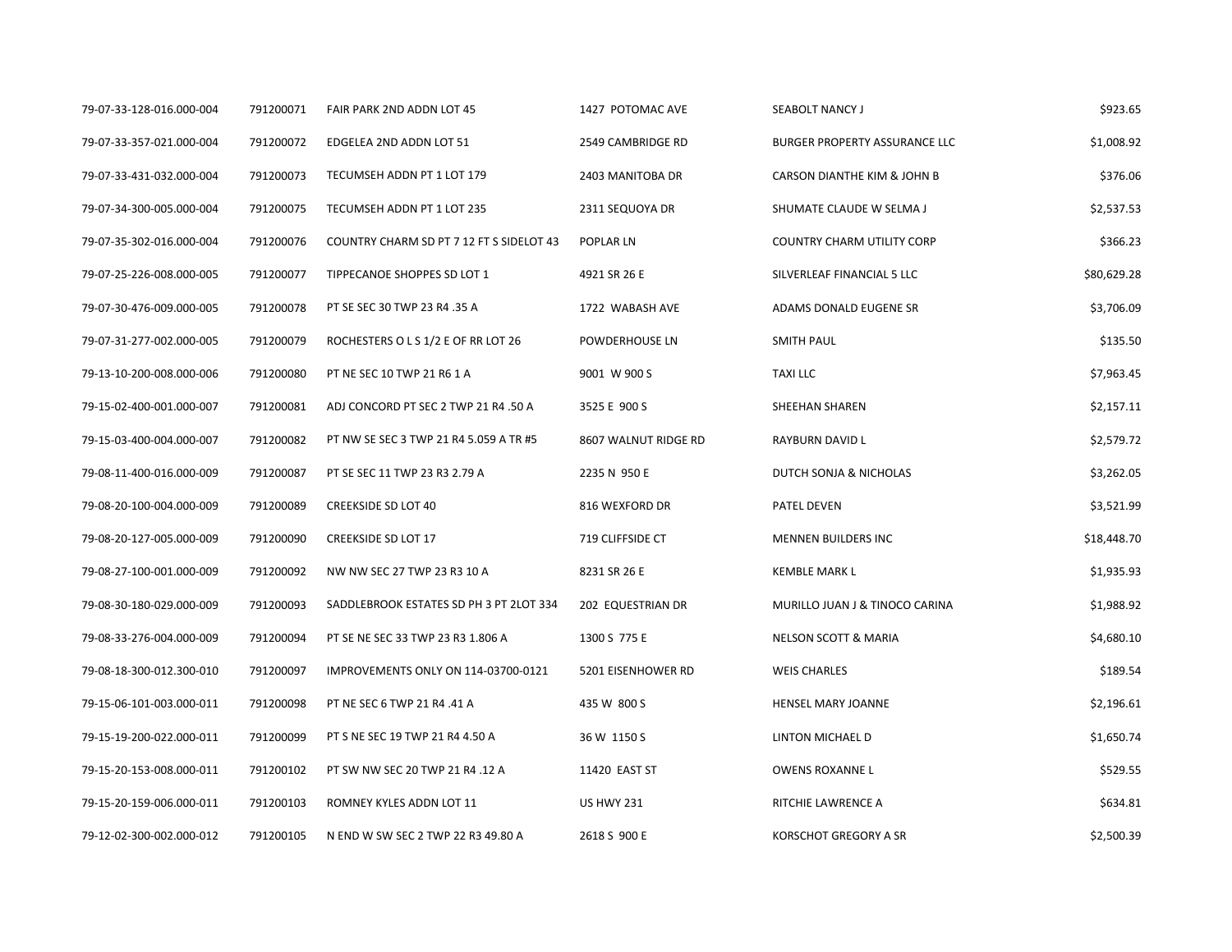| 79-07-33-128-016.000-004 | 791200071 | FAIR PARK 2ND ADDN LOT 45                | 1427 POTOMAC AVE     | SEABOLT NANCY J                   | \$923.65    |
|--------------------------|-----------|------------------------------------------|----------------------|-----------------------------------|-------------|
| 79-07-33-357-021.000-004 | 791200072 | EDGELEA 2ND ADDN LOT 51                  | 2549 CAMBRIDGE RD    | BURGER PROPERTY ASSURANCE LLC     | \$1,008.92  |
| 79-07-33-431-032.000-004 | 791200073 | TECUMSEH ADDN PT 1 LOT 179               | 2403 MANITOBA DR     | CARSON DIANTHE KIM & JOHN B       | \$376.06    |
| 79-07-34-300-005.000-004 | 791200075 | TECUMSEH ADDN PT 1 LOT 235               | 2311 SEQUOYA DR      | SHUMATE CLAUDE W SELMA J          | \$2,537.53  |
| 79-07-35-302-016.000-004 | 791200076 | COUNTRY CHARM SD PT 7 12 FT S SIDELOT 43 | POPLAR LN            | <b>COUNTRY CHARM UTILITY CORP</b> | \$366.23    |
| 79-07-25-226-008.000-005 | 791200077 | TIPPECANOE SHOPPES SD LOT 1              | 4921 SR 26 E         | SILVERLEAF FINANCIAL 5 LLC        | \$80,629.28 |
| 79-07-30-476-009.000-005 | 791200078 | PT SE SEC 30 TWP 23 R4 .35 A             | 1722 WABASH AVE      | ADAMS DONALD EUGENE SR            | \$3,706.09  |
| 79-07-31-277-002.000-005 | 791200079 | ROCHESTERS O L S 1/2 E OF RR LOT 26      | POWDERHOUSE LN       | <b>SMITH PAUL</b>                 | \$135.50    |
| 79-13-10-200-008.000-006 | 791200080 | PT NE SEC 10 TWP 21 R6 1 A               | 9001 W 900 S         | <b>TAXILLC</b>                    | \$7,963.45  |
| 79-15-02-400-001.000-007 | 791200081 | ADJ CONCORD PT SEC 2 TWP 21 R4 .50 A     | 3525 E 900 S         | SHEEHAN SHAREN                    | \$2,157.11  |
| 79-15-03-400-004.000-007 | 791200082 | PT NW SE SEC 3 TWP 21 R4 5.059 A TR #5   | 8607 WALNUT RIDGE RD | RAYBURN DAVID L                   | \$2,579.72  |
| 79-08-11-400-016.000-009 | 791200087 | PT SE SEC 11 TWP 23 R3 2.79 A            | 2235 N 950 E         | DUTCH SONJA & NICHOLAS            | \$3,262.05  |
| 79-08-20-100-004.000-009 | 791200089 | <b>CREEKSIDE SD LOT 40</b>               | 816 WEXFORD DR       | PATEL DEVEN                       | \$3,521.99  |
| 79-08-20-127-005.000-009 | 791200090 | <b>CREEKSIDE SD LOT 17</b>               | 719 CLIFFSIDE CT     | <b>MENNEN BUILDERS INC</b>        | \$18,448.70 |
| 79-08-27-100-001.000-009 | 791200092 | NW NW SEC 27 TWP 23 R3 10 A              | 8231 SR 26 E         | <b>KEMBLE MARK L</b>              | \$1,935.93  |
| 79-08-30-180-029.000-009 | 791200093 | SADDLEBROOK ESTATES SD PH 3 PT 2LOT 334  | 202 EQUESTRIAN DR    | MURILLO JUAN J & TINOCO CARINA    | \$1,988.92  |
| 79-08-33-276-004.000-009 | 791200094 | PT SE NE SEC 33 TWP 23 R3 1.806 A        | 1300 S 775 E         | NELSON SCOTT & MARIA              | \$4,680.10  |
| 79-08-18-300-012.300-010 | 791200097 | IMPROVEMENTS ONLY ON 114-03700-0121      | 5201 EISENHOWER RD   | <b>WEIS CHARLES</b>               | \$189.54    |
| 79-15-06-101-003.000-011 | 791200098 | PT NE SEC 6 TWP 21 R4 .41 A              | 435 W 800 S          | HENSEL MARY JOANNE                | \$2,196.61  |
| 79-15-19-200-022.000-011 | 791200099 | PT S NE SEC 19 TWP 21 R4 4.50 A          | 36 W 1150 S          | LINTON MICHAEL D                  | \$1,650.74  |
| 79-15-20-153-008.000-011 | 791200102 | PT SW NW SEC 20 TWP 21 R4 .12 A          | 11420 EAST ST        | <b>OWENS ROXANNE L</b>            | \$529.55    |
| 79-15-20-159-006.000-011 | 791200103 | ROMNEY KYLES ADDN LOT 11                 | <b>US HWY 231</b>    | RITCHIE LAWRENCE A                | \$634.81    |
| 79-12-02-300-002.000-012 | 791200105 | N END W SW SEC 2 TWP 22 R3 49.80 A       | 2618 S 900 E         | KORSCHOT GREGORY A SR             | \$2,500.39  |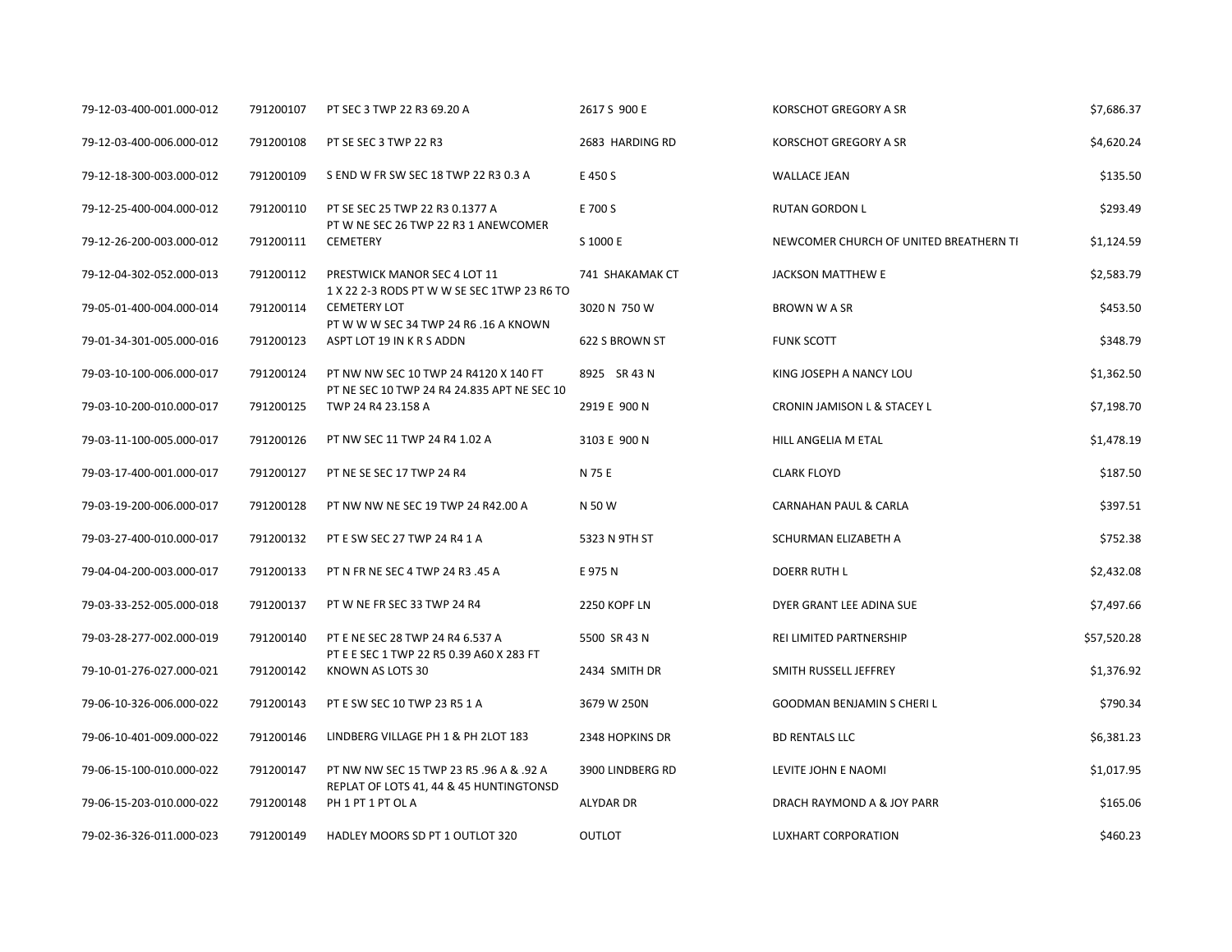| 79-12-03-400-001.000-012 | 791200107 | PT SEC 3 TWP 22 R3 69.20 A                                                           | 2617 S 900 E     | KORSCHOT GREGORY A SR                  | \$7,686.37  |
|--------------------------|-----------|--------------------------------------------------------------------------------------|------------------|----------------------------------------|-------------|
| 79-12-03-400-006.000-012 | 791200108 | PT SE SEC 3 TWP 22 R3                                                                | 2683 HARDING RD  | <b>KORSCHOT GREGORY A SR</b>           | \$4,620.24  |
| 79-12-18-300-003.000-012 | 791200109 | S END W FR SW SEC 18 TWP 22 R3 0.3 A                                                 | E 450 S          | <b>WALLACE JEAN</b>                    | \$135.50    |
| 79-12-25-400-004.000-012 | 791200110 | PT SE SEC 25 TWP 22 R3 0.1377 A<br>PT W NE SEC 26 TWP 22 R3 1 ANEWCOMER              | E 700 S          | <b>RUTAN GORDON L</b>                  | \$293.49    |
| 79-12-26-200-003.000-012 | 791200111 | <b>CEMETERY</b>                                                                      | S 1000 E         | NEWCOMER CHURCH OF UNITED BREATHERN TI | \$1,124.59  |
| 79-12-04-302-052.000-013 | 791200112 | PRESTWICK MANOR SEC 4 LOT 11<br>1 X 22 2-3 RODS PT W W SE SEC 1TWP 23 R6 TO          | 741 SHAKAMAK CT  | <b>JACKSON MATTHEW E</b>               | \$2,583.79  |
| 79-05-01-400-004.000-014 | 791200114 | <b>CEMETERY LOT</b><br>PT W W W SEC 34 TWP 24 R6 .16 A KNOWN                         | 3020 N 750 W     | <b>BROWN W A SR</b>                    | \$453.50    |
| 79-01-34-301-005.000-016 | 791200123 | ASPT LOT 19 IN K R S ADDN                                                            | 622 S BROWN ST   | <b>FUNK SCOTT</b>                      | \$348.79    |
| 79-03-10-100-006.000-017 | 791200124 | PT NW NW SEC 10 TWP 24 R4120 X 140 FT<br>PT NE SEC 10 TWP 24 R4 24.835 APT NE SEC 10 | 8925 SR 43 N     | KING JOSEPH A NANCY LOU                | \$1,362.50  |
| 79-03-10-200-010.000-017 | 791200125 | TWP 24 R4 23.158 A                                                                   | 2919 E 900 N     | CRONIN JAMISON L & STACEY L            | \$7,198.70  |
| 79-03-11-100-005.000-017 | 791200126 | PT NW SEC 11 TWP 24 R4 1.02 A                                                        | 3103 E 900 N     | HILL ANGELIA M ETAL                    | \$1,478.19  |
| 79-03-17-400-001.000-017 | 791200127 | PT NE SE SEC 17 TWP 24 R4                                                            | N 75 E           | <b>CLARK FLOYD</b>                     | \$187.50    |
| 79-03-19-200-006.000-017 | 791200128 | PT NW NW NE SEC 19 TWP 24 R42.00 A                                                   | N 50 W           | CARNAHAN PAUL & CARLA                  | \$397.51    |
| 79-03-27-400-010.000-017 | 791200132 | PT E SW SEC 27 TWP 24 R4 1 A                                                         | 5323 N 9TH ST    | SCHURMAN ELIZABETH A                   | \$752.38    |
| 79-04-04-200-003.000-017 | 791200133 | PT N FR NE SEC 4 TWP 24 R3 .45 A                                                     | E 975 N          | <b>DOERR RUTH L</b>                    | \$2,432.08  |
| 79-03-33-252-005.000-018 | 791200137 | PT W NE FR SEC 33 TWP 24 R4                                                          | 2250 KOPF LN     | DYER GRANT LEE ADINA SUE               | \$7,497.66  |
| 79-03-28-277-002.000-019 | 791200140 | PT E NE SEC 28 TWP 24 R4 6.537 A                                                     | 5500 SR 43 N     | REI LIMITED PARTNERSHIP                | \$57,520.28 |
| 79-10-01-276-027.000-021 | 791200142 | PT E E SEC 1 TWP 22 R5 0.39 A60 X 283 FT<br>KNOWN AS LOTS 30                         | 2434 SMITH DR    | SMITH RUSSELL JEFFREY                  | \$1,376.92  |
| 79-06-10-326-006.000-022 | 791200143 | PT E SW SEC 10 TWP 23 R5 1 A                                                         | 3679 W 250N      | <b>GOODMAN BENJAMIN S CHERIL</b>       | \$790.34    |
| 79-06-10-401-009.000-022 | 791200146 | LINDBERG VILLAGE PH 1 & PH 2LOT 183                                                  | 2348 HOPKINS DR  | <b>BD RENTALS LLC</b>                  | \$6,381.23  |
| 79-06-15-100-010.000-022 | 791200147 | PT NW NW SEC 15 TWP 23 R5 .96 A & .92 A                                              | 3900 LINDBERG RD | LEVITE JOHN E NAOMI                    | \$1,017.95  |
| 79-06-15-203-010.000-022 | 791200148 | REPLAT OF LOTS 41, 44 & 45 HUNTINGTONSD<br>PH 1 PT 1 PT OL A                         | ALYDAR DR        | DRACH RAYMOND A & JOY PARR             | \$165.06    |
| 79-02-36-326-011.000-023 | 791200149 | HADLEY MOORS SD PT 1 OUTLOT 320                                                      | <b>OUTLOT</b>    | LUXHART CORPORATION                    | \$460.23    |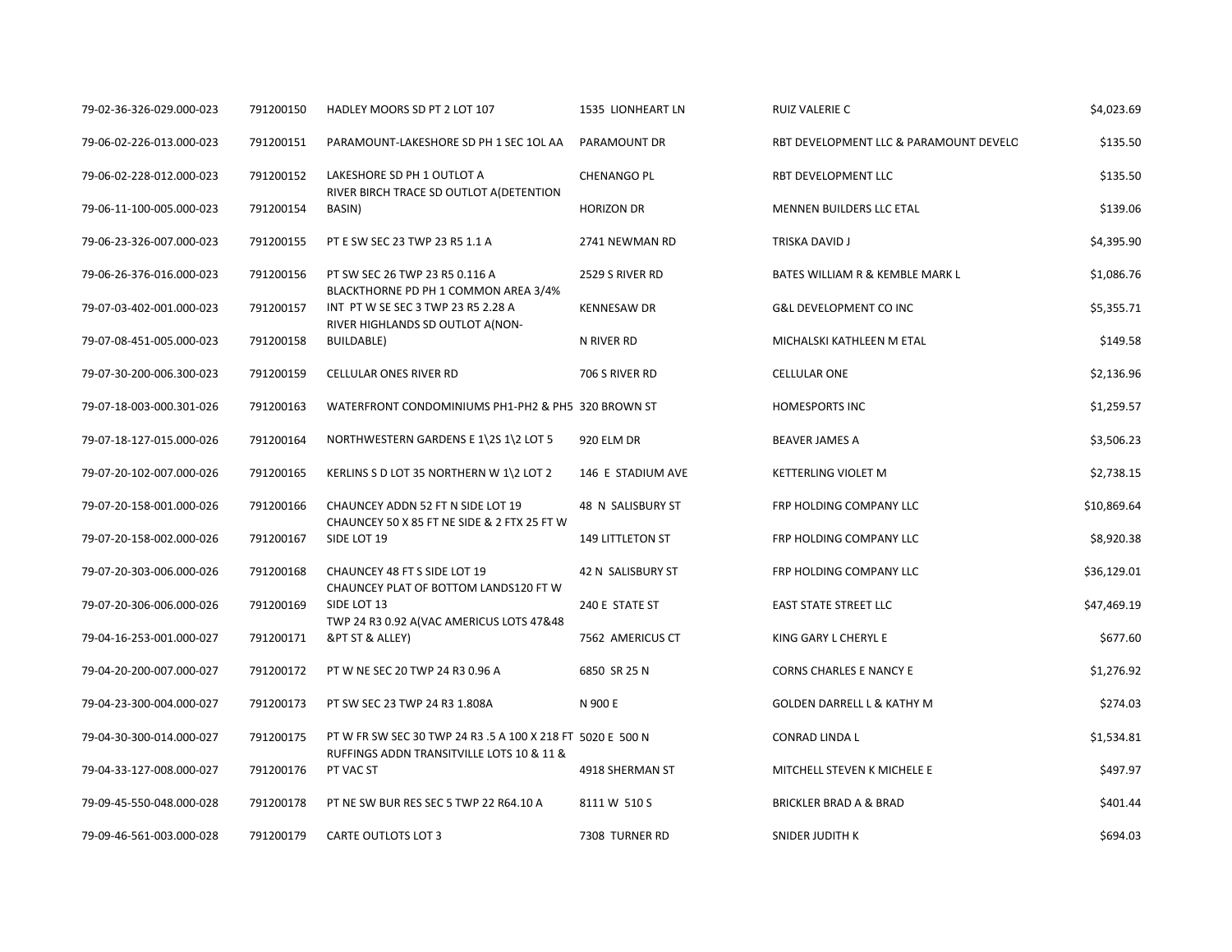| 79-02-36-326-029.000-023 | 791200150 | HADLEY MOORS SD PT 2 LOT 107                                               | 1535 LIONHEART LN  | RUIZ VALERIE C                         | \$4,023.69  |
|--------------------------|-----------|----------------------------------------------------------------------------|--------------------|----------------------------------------|-------------|
| 79-06-02-226-013.000-023 | 791200151 | PARAMOUNT-LAKESHORE SD PH 1 SEC 1OL AA                                     | PARAMOUNT DR       | RBT DEVELOPMENT LLC & PARAMOUNT DEVELO | \$135.50    |
| 79-06-02-228-012.000-023 | 791200152 | LAKESHORE SD PH 1 OUTLOT A                                                 | <b>CHENANGO PL</b> | RBT DEVELOPMENT LLC                    | \$135.50    |
| 79-06-11-100-005.000-023 | 791200154 | RIVER BIRCH TRACE SD OUTLOT A(DETENTION<br>BASIN)                          | <b>HORIZON DR</b>  | MENNEN BUILDERS LLC ETAL               | \$139.06    |
| 79-06-23-326-007.000-023 | 791200155 | PT E SW SEC 23 TWP 23 R5 1.1 A                                             | 2741 NEWMAN RD     | TRISKA DAVID J                         | \$4,395.90  |
| 79-06-26-376-016.000-023 | 791200156 | PT SW SEC 26 TWP 23 R5 0.116 A                                             | 2529 S RIVER RD    | BATES WILLIAM R & KEMBLE MARK L        | \$1,086.76  |
| 79-07-03-402-001.000-023 | 791200157 | BLACKTHORNE PD PH 1 COMMON AREA 3/4%<br>INT PT W SE SEC 3 TWP 23 R5 2.28 A | <b>KENNESAW DR</b> | <b>G&amp;L DEVELOPMENT CO INC</b>      | \$5,355.71  |
| 79-07-08-451-005.000-023 | 791200158 | RIVER HIGHLANDS SD OUTLOT A(NON-<br><b>BUILDABLE)</b>                      | N RIVER RD         | MICHALSKI KATHLEEN M ETAL              | \$149.58    |
| 79-07-30-200-006.300-023 | 791200159 | CELLULAR ONES RIVER RD                                                     | 706 S RIVER RD     | <b>CELLULAR ONE</b>                    | \$2,136.96  |
| 79-07-18-003-000.301-026 | 791200163 | WATERFRONT CONDOMINIUMS PH1-PH2 & PH5 320 BROWN ST                         |                    | <b>HOMESPORTS INC</b>                  | \$1,259.57  |
| 79-07-18-127-015.000-026 | 791200164 | NORTHWESTERN GARDENS E 1\2S 1\2 LOT 5                                      | 920 ELM DR         | BEAVER JAMES A                         | \$3,506.23  |
| 79-07-20-102-007.000-026 | 791200165 | KERLINS S D LOT 35 NORTHERN W 1\2 LOT 2                                    | 146 E STADIUM AVE  | <b>KETTERLING VIOLET M</b>             | \$2,738.15  |
| 79-07-20-158-001.000-026 | 791200166 | CHAUNCEY ADDN 52 FT N SIDE LOT 19                                          | 48 N SALISBURY ST  | FRP HOLDING COMPANY LLC                | \$10,869.64 |
| 79-07-20-158-002.000-026 | 791200167 | CHAUNCEY 50 X 85 FT NE SIDE & 2 FTX 25 FT W<br>SIDE LOT 19                 | 149 LITTLETON ST   | FRP HOLDING COMPANY LLC                | \$8,920.38  |
| 79-07-20-303-006.000-026 | 791200168 | CHAUNCEY 48 FT S SIDE LOT 19                                               | 42 N SALISBURY ST  | FRP HOLDING COMPANY LLC                | \$36,129.01 |
| 79-07-20-306-006.000-026 | 791200169 | CHAUNCEY PLAT OF BOTTOM LANDS120 FT W<br>SIDE LOT 13                       | 240 E STATE ST     | <b>EAST STATE STREET LLC</b>           | \$47,469.19 |
| 79-04-16-253-001.000-027 | 791200171 | TWP 24 R3 0.92 A(VAC AMERICUS LOTS 47&48<br>&PT ST & ALLEY)                | 7562 AMERICUS CT   | KING GARY L CHERYL E                   | \$677.60    |
| 79-04-20-200-007.000-027 | 791200172 | PT W NE SEC 20 TWP 24 R3 0.96 A                                            | 6850 SR 25 N       | <b>CORNS CHARLES E NANCY E</b>         | \$1,276.92  |
| 79-04-23-300-004.000-027 | 791200173 | PT SW SEC 23 TWP 24 R3 1.808A                                              | N 900 E            | <b>GOLDEN DARRELL L &amp; KATHY M</b>  | \$274.03    |
| 79-04-30-300-014.000-027 | 791200175 | PT W FR SW SEC 30 TWP 24 R3 .5 A 100 X 218 FT 5020 E 500 N                 |                    | CONRAD LINDA L                         | \$1,534.81  |
| 79-04-33-127-008.000-027 | 791200176 | RUFFINGS ADDN TRANSITVILLE LOTS 10 & 11 &<br>PT VAC ST                     | 4918 SHERMAN ST    | MITCHELL STEVEN K MICHELE E            | \$497.97    |
| 79-09-45-550-048.000-028 | 791200178 | PT NE SW BUR RES SEC 5 TWP 22 R64.10 A                                     | 8111 W 510 S       | BRICKLER BRAD A & BRAD                 | \$401.44    |
| 79-09-46-561-003.000-028 | 791200179 | <b>CARTE OUTLOTS LOT 3</b>                                                 | 7308 TURNER RD     | SNIDER JUDITH K                        | \$694.03    |